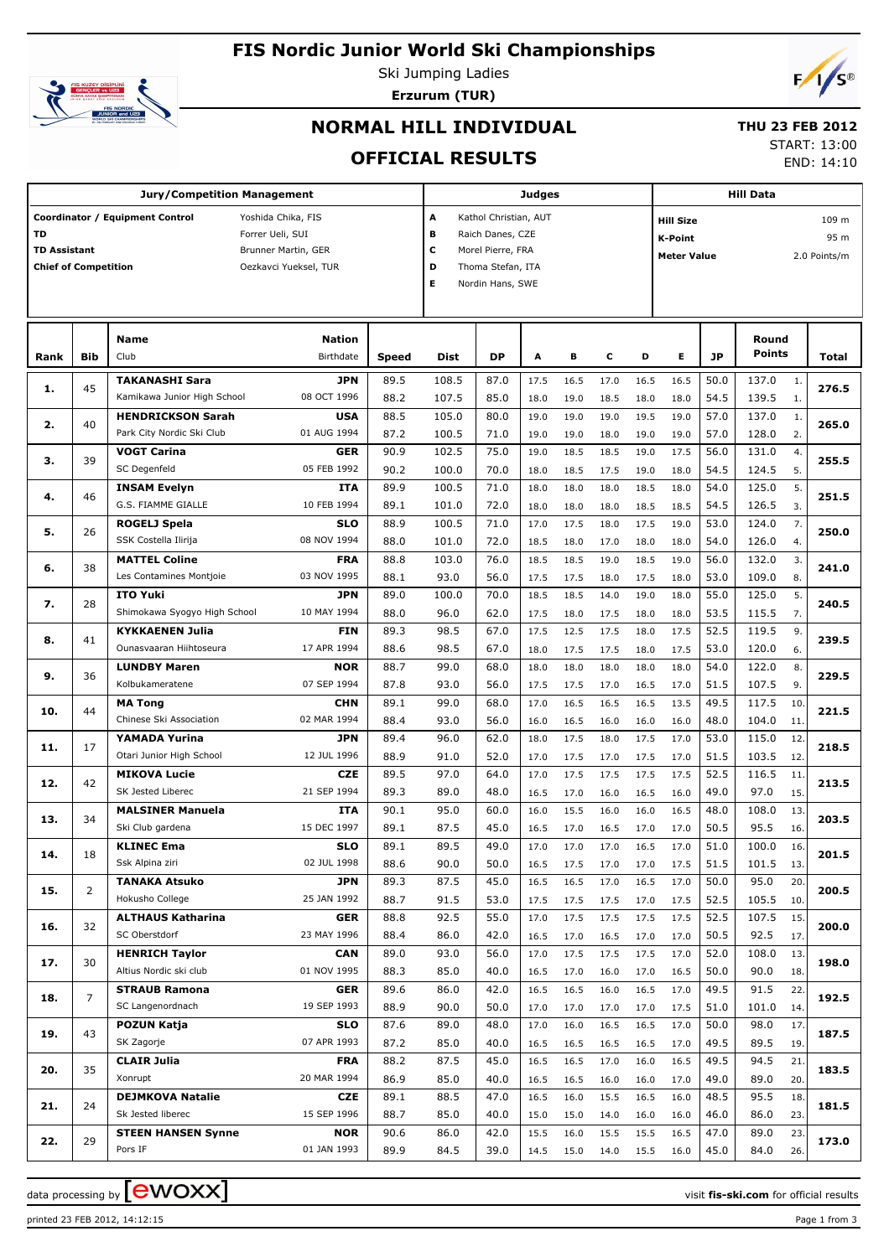## **FIS Nordic Junior World Ski Championships**



Ski Jumping Ladies



# **Erzurum (TUR)**

## **NORMAL HILL INDIVIDUAL**

## **THU 23 FEB 2012**

**OFFICIAL RESULTS**

START: 13:00

END: 14:10

| Jury/Competition Management                                                                                                                                                           |            |                                                        |                            |              |                | Judges                                                                                                                           |              |              |              |              | <b>Hill Data</b> |              |                                                                                           |            |       |  |  |
|---------------------------------------------------------------------------------------------------------------------------------------------------------------------------------------|------------|--------------------------------------------------------|----------------------------|--------------|----------------|----------------------------------------------------------------------------------------------------------------------------------|--------------|--------------|--------------|--------------|------------------|--------------|-------------------------------------------------------------------------------------------|------------|-------|--|--|
| Coordinator / Equipment Control<br>Yoshida Chika, FIS<br>TD<br>Forrer Ueli, SUI<br><b>TD Assistant</b><br>Brunner Martin, GER<br><b>Chief of Competition</b><br>Oezkavci Yueksel, TUR |            |                                                        |                            |              |                | A<br>Kathol Christian, AUT<br>B<br>Raich Danes, CZE<br>c<br>Morel Pierre, FRA<br>D<br>Thoma Stefan, ITA<br>E<br>Nordin Hans, SWE |              |              |              |              |                  |              | 109 m<br><b>Hill Size</b><br>95 m<br><b>K-Point</b><br>2.0 Points/m<br><b>Meter Value</b> |            |       |  |  |
| Rank                                                                                                                                                                                  | <b>Bib</b> | <b>Name</b><br>Club                                    | <b>Nation</b><br>Birthdate | <b>Speed</b> | <b>Dist</b>    | <b>DP</b>                                                                                                                        | А            | в            | c            | D            | E.               | <b>JP</b>    | Round<br><b>Points</b>                                                                    |            | Total |  |  |
| 1.                                                                                                                                                                                    | 45         | <b>TAKANASHI Sara</b><br>Kamikawa Junior High School   | <b>JPN</b><br>08 OCT 1996  | 89.5<br>88.2 | 108.5<br>107.5 | 87.0<br>85.0                                                                                                                     | 17.5<br>18.0 | 16.5<br>19.0 | 17.0<br>18.5 | 16.5<br>18.0 | 16.5<br>18.0     | 50.0<br>54.5 | 137.0<br>139.5                                                                            | 1.<br>1.   | 276.5 |  |  |
| 2.                                                                                                                                                                                    | 40         | <b>HENDRICKSON Sarah</b><br>Park City Nordic Ski Club  | <b>USA</b><br>01 AUG 1994  | 88.5<br>87.2 | 105.0<br>100.5 | 80.0<br>71.0                                                                                                                     | 19.0<br>19.0 | 19.0<br>19.0 | 19.0         | 19.5<br>19.0 | 19.0<br>19.0     | 57.0<br>57.0 | 137.0<br>128.0                                                                            | 1.<br>2.   | 265.0 |  |  |
| з.                                                                                                                                                                                    | 39         | <b>VOGT Carina</b>                                     | GER                        | 90.9         | 102.5          | 75.0                                                                                                                             | 19.0         | 18.5         | 18.0<br>18.5 | 19.0         | 17.5             | 56.0         | 131.0                                                                                     | 4.         | 255.5 |  |  |
| 4.                                                                                                                                                                                    | 46         | SC Degenfeld<br><b>INSAM Evelyn</b>                    | 05 FEB 1992<br>ITA         | 90.2<br>89.9 | 100.0<br>100.5 | 70.0<br>71.0                                                                                                                     | 18.0<br>18.0 | 18.5<br>18.0 | 17.5<br>18.0 | 19.0<br>18.5 | 18.0<br>18.0     | 54.5<br>54.0 | 124.5<br>125.0                                                                            | 5.<br>5.   | 251.5 |  |  |
| 5.                                                                                                                                                                                    | 26         | G.S. FIAMME GIALLE<br>ROGELJ Spela                     | 10 FEB 1994<br><b>SLO</b>  | 89.1<br>88.9 | 101.0<br>100.5 | 72.0<br>71.0                                                                                                                     | 18.0<br>17.0 | 18.0<br>17.5 | 18.0<br>18.0 | 18.5<br>17.5 | 18.5<br>19.0     | 54.5<br>53.0 | 126.5<br>124.0                                                                            | 3.<br>7.   | 250.0 |  |  |
| 6.                                                                                                                                                                                    | 38         | SSK Costella Ilirija<br><b>MATTEL Coline</b>           | 08 NOV 1994<br><b>FRA</b>  | 88.0<br>88.8 | 101.0<br>103.0 | 72.0<br>76.0                                                                                                                     | 18.5<br>18.5 | 18.0<br>18.5 | 17.0<br>19.0 | 18.0<br>18.5 | 18.0<br>19.0     | 54.0<br>56.0 | 126.0<br>132.0                                                                            | 4.<br>3.   | 241.0 |  |  |
| 7.                                                                                                                                                                                    | 28         | Les Contamines Montjoie<br><b>ITO Yuki</b>             | 03 NOV 1995<br>JPN         | 88.1<br>89.0 | 93.0<br>100.0  | 56.0<br>70.0                                                                                                                     | 17.5<br>18.5 | 17.5<br>18.5 | 18.0<br>14.0 | 17.5<br>19.0 | 18.0<br>18.0     | 53.0<br>55.0 | 109.0<br>125.0                                                                            | 8.<br>5.   | 240.5 |  |  |
| 8.                                                                                                                                                                                    | 41         | Shimokawa Syogyo High School<br><b>KYKKAENEN Julia</b> | 10 MAY 1994<br>FIN         | 88.0<br>89.3 | 96.0<br>98.5   | 62.0<br>67.0                                                                                                                     | 17.5<br>17.5 | 18.0<br>12.5 | 17.5<br>17.5 | 18.0<br>18.0 | 18.0<br>17.5     | 53.5<br>52.5 | 115.5<br>119.5                                                                            | 7.<br>9.   | 239.5 |  |  |
| 9.                                                                                                                                                                                    | 36         | Ounasvaaran Hiihtoseura<br><b>LUNDBY Maren</b>         | 17 APR 1994<br>NOR         | 88.6<br>88.7 | 98.5<br>99.0   | 67.0<br>68.0                                                                                                                     | 18.0<br>18.0 | 17.5<br>18.0 | 17.5<br>18.0 | 18.0<br>18.0 | 17.5<br>18.0     | 53.0<br>54.0 | 120.0<br>122.0                                                                            | 6.<br>8.   | 229.5 |  |  |
|                                                                                                                                                                                       |            | Kolbukameratene<br><b>MA Tong</b>                      | 07 SEP 1994<br><b>CHN</b>  | 87.8<br>89.1 | 93.0<br>99.0   | 56.0<br>68.0                                                                                                                     | 17.5<br>17.0 | 17.5<br>16.5 | 17.0<br>16.5 | 16.5<br>16.5 | 17.0<br>13.5     | 51.5<br>49.5 | 107.5<br>117.5                                                                            | 9.<br>10.  |       |  |  |
| 10.                                                                                                                                                                                   | 44         | Chinese Ski Association<br>YAMADA Yurina               | 02 MAR 1994<br>JPN         | 88.4<br>89.4 | 93.0<br>96.0   | 56.0<br>62.0                                                                                                                     | 16.0<br>18.0 | 16.5<br>17.5 | 16.0<br>18.0 | 16.0<br>17.5 | 16.0<br>17.0     | 48.0<br>53.0 | 104.0<br>115.0                                                                            | 11.<br>12. | 221.5 |  |  |
| 11.                                                                                                                                                                                   | 17         | Otari Junior High School<br><b>MIKOVA Lucie</b>        | 12 JUL 1996<br>CZE         | 88.9<br>89.5 | 91.0<br>97.0   | 52.0<br>64.0                                                                                                                     | 17.0<br>17.0 | 17.5<br>17.5 | 17.0<br>17.5 | 17.5<br>17.5 | 17.0<br>17.5     | 51.5<br>52.5 | 103.5<br>116.5                                                                            | 12.<br>11. | 218.5 |  |  |
| 12.                                                                                                                                                                                   | 42         | SK Jested Liberec<br><b>MALSINER Manuela</b>           | 21 SEP 1994<br>ITA         | 89.3<br>90.1 | 89.0<br>95.0   | 48.0<br>60.0                                                                                                                     | 16.5<br>16.0 | 17.0<br>15.5 | 16.0<br>16.0 | 16.5<br>16.0 | 16.0<br>16.5     | 49.0<br>48.0 | 97.0<br>108.0                                                                             | 15.<br>13. | 213.5 |  |  |
| 13.                                                                                                                                                                                   | 34         | Ski Club gardena<br><b>KLINEC Ema</b>                  | 15 DEC 1997<br>SLO         | 89.1<br>89.1 | 87.5<br>89.5   | 45.0<br>49.0                                                                                                                     | 16.5<br>17.0 | 17.0<br>17.0 | 16.5<br>17.0 | 17.0<br>16.5 | 17.0<br>17.0     | 50.5<br>51.0 | 95.5<br>100.0                                                                             | 16.<br>16. | 203.5 |  |  |
| 14.                                                                                                                                                                                   | 18         | Ssk Alpina ziri<br><b>TANAKA Atsuko</b>                | 02 JUL 1998<br>JPN         | 88.6<br>89.3 | 90.0<br>87.5   | 50.0<br>45.0                                                                                                                     | 16.5         | 17.5         | 17.0         | 17.0         | 17.5             | 51.5<br>50.0 | 101.5<br>95.0                                                                             | 13.        | 201.5 |  |  |
| 15.                                                                                                                                                                                   | 2          | Hokusho College                                        | 25 JAN 1992                | 88.7         | 91.5           | 53.0                                                                                                                             | 16.5<br>17.5 | 16.5<br>17.5 | 17.0<br>17.5 | 16.5<br>17.0 | 17.0<br>17.5     | 52.5         | 105.5                                                                                     | 20.<br>10. | 200.5 |  |  |
| 16.                                                                                                                                                                                   | 32         | <b>ALTHAUS Katharina</b><br>SC Oberstdorf              | <b>GER</b><br>23 MAY 1996  | 88.8<br>88.4 | 92.5<br>86.0   | 55.0<br>42.0                                                                                                                     | 17.0<br>16.5 | 17.5<br>17.0 | 17.5<br>16.5 | 17.5<br>17.0 | 17.5<br>17.0     | 52.5<br>50.5 | 107.5<br>92.5                                                                             | 15.<br>17. | 200.0 |  |  |
| 17.                                                                                                                                                                                   | 30         | <b>HENRICH Taylor</b><br>Altius Nordic ski club        | <b>CAN</b><br>01 NOV 1995  | 89.0<br>88.3 | 93.0<br>85.0   | 56.0<br>40.0                                                                                                                     | 17.0<br>16.5 | 17.5<br>17.0 | 17.5<br>16.0 | 17.5<br>17.0 | 17.0<br>16.5     | 52.0<br>50.0 | 108.0<br>90.0                                                                             | 13.<br>18. | 198.0 |  |  |
| 18.                                                                                                                                                                                   | 7          | <b>STRAUB Ramona</b><br>SC Langenordnach               | <b>GER</b><br>19 SEP 1993  | 89.6<br>88.9 | 86.0<br>90.0   | 42.0<br>50.0                                                                                                                     | 16.5<br>17.0 | 16.5<br>17.0 | 16.0<br>17.0 | 16.5<br>17.0 | 17.0<br>17.5     | 49.5<br>51.0 | 91.5<br>101.0                                                                             | 22.<br>14. | 192.5 |  |  |
| 19.                                                                                                                                                                                   | 43         | <b>POZUN Katja</b><br>SK Zagorje                       | <b>SLO</b><br>07 APR 1993  | 87.6<br>87.2 | 89.0<br>85.0   | 48.0<br>40.0                                                                                                                     | 17.0<br>16.5 | 16.0<br>16.5 | 16.5<br>16.5 | 16.5<br>16.5 | 17.0<br>17.0     | 50.0<br>49.5 | 98.0<br>89.5                                                                              | 17.<br>19. | 187.5 |  |  |
| 20.                                                                                                                                                                                   | 35         | <b>CLAIR Julia</b><br>Xonrupt                          | <b>FRA</b><br>20 MAR 1994  | 88.2<br>86.9 | 87.5<br>85.0   | 45.0<br>40.0                                                                                                                     | 16.5<br>16.5 | 16.5<br>16.5 | 17.0<br>16.0 | 16.0<br>16.0 | 16.5<br>17.0     | 49.5<br>49.0 | 94.5<br>89.0                                                                              | 21.<br>20. | 183.5 |  |  |
| 21.                                                                                                                                                                                   | 24         | <b>DEJMKOVA Natalie</b><br>Sk Jested liberec           | CZE<br>15 SEP 1996         | 89.1<br>88.7 | 88.5<br>85.0   | 47.0<br>40.0                                                                                                                     | 16.5<br>15.0 | 16.0<br>15.0 | 15.5<br>14.0 | 16.5<br>16.0 | 16.0<br>16.0     | 48.5<br>46.0 | 95.5<br>86.0                                                                              | 18.<br>23. | 181.5 |  |  |
| 22.                                                                                                                                                                                   | 29         | <b>STEEN HANSEN Synne</b><br>Pors IF                   | <b>NOR</b><br>01 JAN 1993  | 90.6<br>89.9 | 86.0<br>84.5   | 42.0<br>39.0                                                                                                                     | 15.5<br>14.5 | 16.0<br>15.0 | 15.5<br>14.0 | 15.5<br>15.5 | 16.5<br>16.0     | 47.0<br>45.0 | 89.0<br>84.0                                                                              | 23.<br>26. | 173.0 |  |  |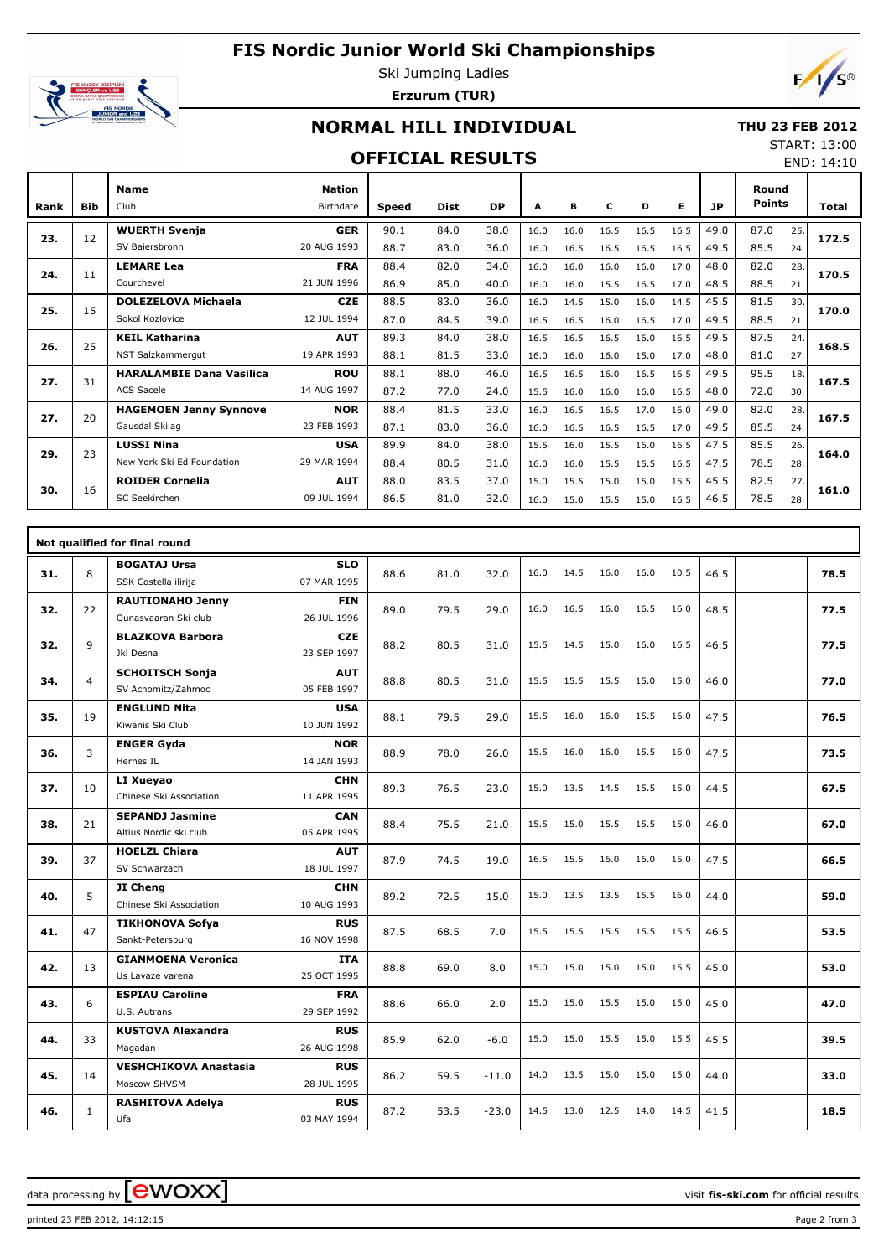# **FIS Nordic Junior World Ski Championships**



Ski Jumping Ladies **Erzurum (TUR)**



## **NORMAL HILL INDIVIDUAL**

#### **THU 23 FEB 2012**

#### **OFFICIAL RESULTS**

START: 13:00 END: 14:10

| Rank | <b>Bib</b> | <b>Name</b><br>Club             | <b>Nation</b><br>Birthdate | <b>Speed</b> | <b>Dist</b> | <b>DP</b> | A    | в    | c    | D    | Е    | JP   | Round<br><b>Points</b> |     | <b>Total</b> |  |
|------|------------|---------------------------------|----------------------------|--------------|-------------|-----------|------|------|------|------|------|------|------------------------|-----|--------------|--|
| 23.  | 12         | <b>WUERTH Svenja</b>            | <b>GER</b>                 | 90.1         | 84.0        | 38.0      | 16.0 | 16.0 | 16.5 | 16.5 | 16.5 | 49.0 | 87.0                   | 25. | 172.5        |  |
|      |            | SV Baiersbronn                  | 20 AUG 1993                | 88.7         | 83.0        | 36.0      | 16.0 | 16.5 | 16.5 | 16.5 | 16.5 | 49.5 | 85.5                   | 24. |              |  |
| 24.  | 11         | <b>LEMARE Lea</b>               | <b>FRA</b>                 | 88.4         | 82.0        | 34.0      | 16.0 | 16.0 | 16.0 | 16.0 | 17.0 | 48.0 | 82.0                   | 28. | 170.5        |  |
|      |            | Courchevel                      | 21 JUN 1996                | 86.9         | 85.0        | 40.0      | 16.0 | 16.0 | 15.5 | 16.5 | 17.0 | 48.5 | 88.5                   | 21. |              |  |
| 25.  | 15         | <b>DOLEZELOVA Michaela</b>      | <b>CZE</b>                 | 88.5         | 83.0        | 36.0      | 16.0 | 14.5 | 15.0 | 16.0 | 14.5 | 45.5 | 81.5                   | 30. | 170.0        |  |
|      |            | Sokol Kozlovice                 | 12 JUL 1994                | 87.0         | 84.5        | 39.0      | 16.5 | 16.5 | 16.0 | 16.5 | 17.0 | 49.5 | 88.5                   | 21. |              |  |
| 26.  | 25         | <b>KEIL Katharina</b>           | <b>AUT</b>                 | 89.3         | 84.0        | 38.0      | 16.5 | 16.5 | 16.5 | 16.0 | 16.5 | 49.5 | 87.5                   | 24. | 168.5        |  |
|      |            | NST Salzkammergut               | 19 APR 1993                | 88.1         | 81.5        | 33.0      | 16.0 | 16.0 | 16.0 | 15.0 | 17.0 | 48.0 | 81.0                   | 27. |              |  |
| 27.  | 31         | <b>HARALAMBIE Dana Vasilica</b> | <b>ROU</b>                 | 88.1         | 88.0        | 46.0      | 16.5 | 16.5 | 16.0 | 16.5 | 16.5 | 49.5 | 95.5                   | 18. | 167.5        |  |
|      |            | <b>ACS Sacele</b>               | 14 AUG 1997                | 87.2         | 77.0        | 24.0      | 15.5 | 16.0 | 16.0 | 16.0 | 16.5 | 48.0 | 72.0                   | 30. |              |  |
| 27.  | 20         | <b>HAGEMOEN Jenny Synnove</b>   | <b>NOR</b>                 | 88.4         | 81.5        | 33.0      | 16.0 | 16.5 | 16.5 | 17.0 | 16.0 | 49.0 | 82.0                   | 28. | 167.5        |  |
|      |            | Gausdal Skilag                  | 23 FEB 1993                | 87.1         | 83.0        | 36.0      | 16.0 | 16.5 | 16.5 | 16.5 | 17.0 | 49.5 | 85.5                   | 24. |              |  |
| 29.  | 23         | <b>LUSSI Nina</b>               | <b>USA</b>                 | 89.9         | 84.0        | 38.0      | 15.5 | 16.0 | 15.5 | 16.0 | 16.5 | 47.5 | 85.5                   | 26. | 164.0        |  |
|      |            | New York Ski Ed Foundation      | 29 MAR 1994                | 88.4         | 80.5        | 31.0      | 16.0 | 16.0 | 15.5 | 15.5 | 16.5 | 47.5 | 78.5                   | 28. |              |  |
| 30.  | 16         | <b>ROIDER Cornelia</b>          | <b>AUT</b>                 | 88.0         | 83.5        | 37.0      | 15.0 | 15.5 | 15.0 | 15.0 | 15.5 | 45.5 | 82.5                   | 27. | 161.0        |  |
|      |            | SC Seekirchen                   | 09 JUL 1994                | 86.5         | 81.0        | 32.0      | 16.0 | 15.0 | 15.5 | 15.0 | 16.5 | 46.5 | 78.5                   | 28. |              |  |

|     |              | Not qualified for final round                    |                           |      |      |         |      |      |      |      |      |      |      |
|-----|--------------|--------------------------------------------------|---------------------------|------|------|---------|------|------|------|------|------|------|------|
| 31. | 8            | <b>BOGATAJ Ursa</b><br>SSK Costella ilirija      | <b>SLO</b><br>07 MAR 1995 | 88.6 | 81.0 | 32.0    | 16.0 | 14.5 | 16.0 | 16.0 | 10.5 | 46.5 | 78.5 |
| 32. | 22           | <b>RAUTIONAHO Jenny</b><br>Ounasyaaran Ski club  | <b>FIN</b><br>26 JUL 1996 | 89.0 | 79.5 | 29.0    | 16.0 | 16.5 | 16.0 | 16.5 | 16.0 | 48.5 | 77.5 |
| 32. | 9            | <b>BLAZKOVA Barbora</b><br>Jkl Desna             | <b>CZE</b><br>23 SEP 1997 | 88.2 | 80.5 | 31.0    | 15.5 | 14.5 | 15.0 | 16.0 | 16.5 | 46.5 | 77.5 |
| 34. | 4            | <b>SCHOITSCH Sonja</b><br>SV Achomitz/Zahmoc     | <b>AUT</b><br>05 FEB 1997 | 88.8 | 80.5 | 31.0    | 15.5 | 15.5 | 15.5 | 15.0 | 15.0 | 46.0 | 77.0 |
| 35. | 19           | <b>ENGLUND Nita</b><br>Kiwanis Ski Club          | <b>USA</b><br>10 JUN 1992 | 88.1 | 79.5 | 29.0    | 15.5 | 16.0 | 16.0 | 15.5 | 16.0 | 47.5 | 76.5 |
| 36. | 3            | <b>ENGER Gyda</b><br>Hernes IL                   | <b>NOR</b><br>14 JAN 1993 | 88.9 | 78.0 | 26.0    | 15.5 | 16.0 | 16.0 | 15.5 | 16.0 | 47.5 | 73.5 |
| 37. | 10           | LI Xueyao<br>Chinese Ski Association             | <b>CHN</b><br>11 APR 1995 | 89.3 | 76.5 | 23.0    | 15.0 | 13.5 | 14.5 | 15.5 | 15.0 | 44.5 | 67.5 |
| 38. | 21           | <b>SEPANDJ Jasmine</b><br>Altius Nordic ski club | <b>CAN</b><br>05 APR 1995 | 88.4 | 75.5 | 21.0    | 15.5 | 15.0 | 15.5 | 15.5 | 15.0 | 46.0 | 67.0 |
| 39. | 37           | <b>HOELZL Chiara</b><br>SV Schwarzach            | <b>AUT</b><br>18 JUL 1997 | 87.9 | 74.5 | 19.0    | 16.5 | 15.5 | 16.0 | 16.0 | 15.0 | 47.5 | 66.5 |
| 40. | 5            | JI Chena<br>Chinese Ski Association              | <b>CHN</b><br>10 AUG 1993 | 89.2 | 72.5 | 15.0    | 15.0 | 13.5 | 13.5 | 15.5 | 16.0 | 44.0 | 59.0 |
| 41. | 47           | <b>TIKHONOVA Sofya</b><br>Sankt-Petersburg       | <b>RUS</b><br>16 NOV 1998 | 87.5 | 68.5 | 7.0     | 15.5 | 15.5 | 15.5 | 15.5 | 15.5 | 46.5 | 53.5 |
| 42. | 13           | <b>GIANMOENA Veronica</b><br>Us Lavaze varena    | <b>ITA</b><br>25 OCT 1995 | 88.8 | 69.0 | 8.0     | 15.0 | 15.0 | 15.0 | 15.0 | 15.5 | 45.0 | 53.0 |
| 43. | 6            | <b>ESPIAU Caroline</b><br>U.S. Autrans           | <b>FRA</b><br>29 SEP 1992 | 88.6 | 66.0 | 2.0     | 15.0 | 15.0 | 15.5 | 15.0 | 15.0 | 45.0 | 47.0 |
| 44. | 33           | <b>KUSTOVA Alexandra</b><br>Magadan              | <b>RUS</b><br>26 AUG 1998 | 85.9 | 62.0 | $-6.0$  | 15.0 | 15.0 | 15.5 | 15.0 | 15.5 | 45.5 | 39.5 |
| 45. | 14           | <b>VESHCHIKOVA Anastasia</b><br>Moscow SHVSM     | <b>RUS</b><br>28 JUL 1995 | 86.2 | 59.5 | $-11.0$ | 14.0 | 13.5 | 15.0 | 15.0 | 15.0 | 44.0 | 33.0 |
| 46. | $\mathbf{1}$ | <b>RASHITOVA Adelya</b><br>Ufa                   | <b>RUS</b><br>03 MAY 1994 | 87.2 | 53.5 | $-23.0$ | 14.5 | 13.0 | 12.5 | 14.0 | 14.5 | 41.5 | 18.5 |

data processing by **CWOXX**  $\blacksquare$